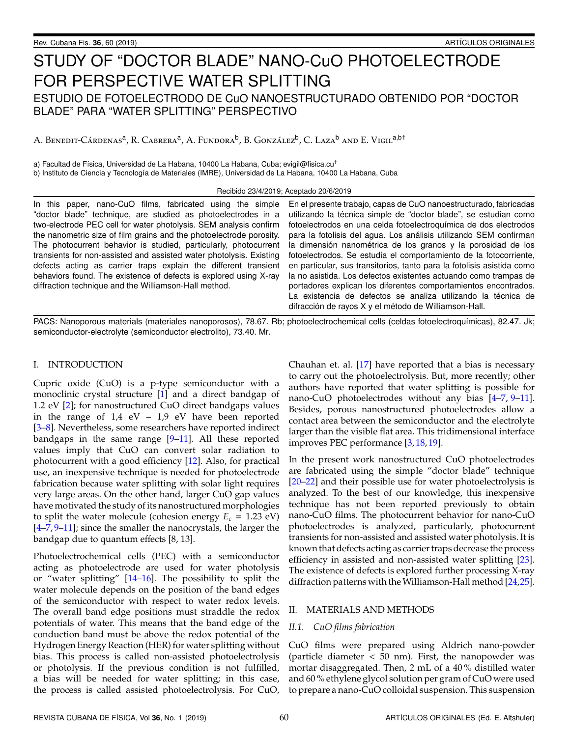# STUDY OF "DOCTOR BLADE" NANO-CuO PHOTOELECTRODE FOR PERSPECTIVE WATER SPLITTING ESTUDIO DE FOTOELECTRODO DE CuO NANOESTRUCTURADO OBTENIDO POR "DOCTOR BLADE" PARA "WATER SPLITTING" PERSPECTIVO

A. Benedit-Cárdenas<sup>a</sup>, R. Cabrera<sup>a</sup>, A. Fundora<sup>b</sup>, B. González<sup>b</sup>, C. Laza<sup>b</sup> and E. Vigil<sup>a,b†</sup>

a) Facultad de Física, Universidad de La Habana, 10400 La Habana, Cuba; evigil@fisica.cu<sup>†</sup> b) Instituto de Ciencia y Tecnología de Materiales (IMRE), Universidad de La Habana, 10400 La Habana, Cuba

Recibido 23/4/2019; Aceptado 20/6/2019

In this paper, nano-CuO films, fabricated using the simple "doctor blade" technique, are studied as photoelectrodes in a two-electrode PEC cell for water photolysis. SEM analysis confirm the nanometric size of film grains and the photoelectrode porosity. The photocurrent behavior is studied, particularly, photocurrent transients for non-assisted and assisted water photolysis. Existing defects acting as carrier traps explain the different transient behaviors found. The existence of defects is explored using X-ray diffraction technique and the Williamson-Hall method.

En el presente trabajo, capas de CuO nanoestructurado, fabricadas utilizando la técnica simple de "doctor blade", se estudian como fotoelectrodos en una celda fotoelectroquímica de dos electrodos para la fotolisis del agua. Los análisis utilizando SEM confirman la dimensión nanométrica de los granos y la porosidad de los fotoelectrodos. Se estudia el comportamiento de la fotocorriente, en particular, sus transitorios, tanto para la fotolisis asistida como la no asistida. Los defectos existentes actuando como trampas de portadores explican los diferentes comportamientos encontrados. La existencia de defectos se analiza utilizando la técnica de difracción de rayos X y el método de Williamson-Hall.

PACS: Nanoporous materials (materiales nanoporosos), 78.67. Rb; photoelectrochemical cells (celdas fotoelectroquímicas), 82.47. Jk; semiconductor-electrolyte (semiconductor electrolito), 73.40. Mr.

## I. INTRODUCTION

Cupric oxide (CuO) is a p-type semiconductor with a monoclinic crystal structure [\[1\]](#page-4-0) and a direct bandgap of 1.2 eV [\[2\]](#page-4-1); for nanostructured CuO direct bandgaps values in the range of  $1.4$  eV –  $1.9$  eV have been reported [\[3](#page-4-2)[–8\]](#page-4-3). Nevertheless, some researchers have reported indirect bandgaps in the same range  $[9-11]$  $[9-11]$ . All these reported values imply that CuO can convert solar radiation to photocurrent with a good efficiency [\[12\]](#page-4-6). Also, for practical use, an inexpensive technique is needed for photoelectrode fabrication because water splitting with solar light requires very large areas. On the other hand, larger CuO gap values have motivated the study of its nanostructured morphologies to split the water molecule (cohesion energy  $E_c = 1.23$  eV) [\[4](#page-4-7)[–7,](#page-4-8) [9](#page-4-4)[–11\]](#page-4-5); since the smaller the nanocrystals, the larger the bandgap due to quantum effects [8, 13].

Photoelectrochemical cells (PEC) with a semiconductor acting as photoelectrode are used for water photolysis or "water splitting" [\[14](#page-4-9)[–16\]](#page-5-0). The possibility to split the water molecule depends on the position of the band edges of the semiconductor with respect to water redox levels. The overall band edge positions must straddle the redox potentials of water. This means that the band edge of the conduction band must be above the redox potential of the Hydrogen Energy Reaction (HER) for water splitting without bias. This process is called non-assisted photoelectrolysis or photolysis. If the previous condition is not fulfilled, a bias will be needed for water splitting; in this case, the process is called assisted photoelectrolysis. For CuO, Chauhan et. al. [\[17\]](#page-5-1) have reported that a bias is necessary to carry out the photoelectrolysis. But, more recently; other authors have reported that water splitting is possible for nano-CuO photoelectrodes without any bias [\[4](#page-4-7)[–7,](#page-4-8) [9–](#page-4-4)[11\]](#page-4-5). Besides, porous nanostructured photoelectrodes allow a contact area between the semiconductor and the electrolyte larger than the visible flat area. This tridimensional interface improves PEC performance [\[3,](#page-4-2) [18,](#page-5-2) [19\]](#page-5-3).

In the present work nanostructured CuO photoelectrodes are fabricated using the simple "doctor blade" technique [\[20–](#page-5-4)[22\]](#page-5-5) and their possible use for water photoelectrolysis is analyzed. To the best of our knowledge, this inexpensive technique has not been reported previously to obtain nano-CuO films. The photocurrent behavior for nano-CuO photoelectrodes is analyzed, particularly, photocurrent transients for non-assisted and assisted water photolysis. It is known that defects acting as carrier traps decrease the process efficiency in assisted and non-assisted water splitting [\[23\]](#page-5-6). The existence of defects is explored further processing X-ray diffraction patterns with the Williamson-Hall method [\[24,](#page-5-7)[25\]](#page-5-8).

## II. MATERIALS AND METHODS

## *II.1. CuO films fabrication*

CuO films were prepared using Aldrich nano-powder (particle diameter  $<$  50 nm). First, the nanopowder was mortar disaggregated. Then, 2 mL of a 40 % distilled water and 60 % ethylene glycol solution per gram of CuO were used to prepare a nano-CuO colloidal suspension. This suspension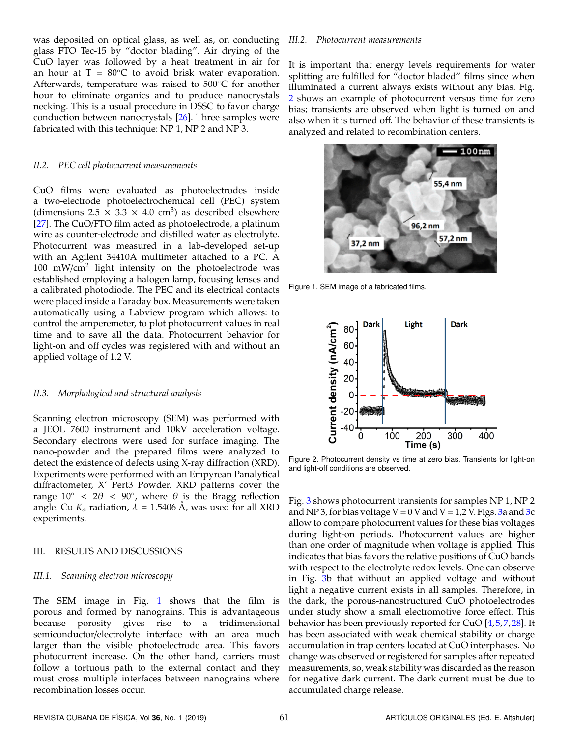was deposited on optical glass, as well as, on conducting glass FTO Tec-15 by "doctor blading". Air drying of the CuO layer was followed by a heat treatment in air for an hour at  $T = 80^{\circ}C$  to avoid brisk water evaporation. Afterwards, temperature was raised to 500◦C for another hour to eliminate organics and to produce nanocrystals necking. This is a usual procedure in DSSC to favor charge conduction between nanocrystals [\[26\]](#page-5-9). Three samples were fabricated with this technique: NP 1, NP 2 and NP 3.

## *II.2. PEC cell photocurrent measurements*

CuO films were evaluated as photoelectrodes inside a two-electrode photoelectrochemical cell (PEC) system (dimensions  $2.5 \times 3.3 \times 4.0$  cm<sup>3</sup>) as described elsewhere [\[27\]](#page-5-10). The CuO/FTO film acted as photoelectrode, a platinum wire as counter-electrode and distilled water as electrolyte. Photocurrent was measured in a lab-developed set-up with an Agilent 34410A multimeter attached to a PC. A 100 mW/cm<sup>2</sup> light intensity on the photoelectrode was established employing a halogen lamp, focusing lenses and a calibrated photodiode. The PEC and its electrical contacts were placed inside a Faraday box. Measurements were taken automatically using a Labview program which allows: to control the amperemeter, to plot photocurrent values in real time and to save all the data. Photocurrent behavior for light-on and off cycles was registered with and without an applied voltage of 1.2 V.

## *II.3. Morphological and structural analysis*

Scanning electron microscopy (SEM) was performed with a JEOL 7600 instrument and 10kV acceleration voltage. Secondary electrons were used for surface imaging. The nano-powder and the prepared films were analyzed to detect the existence of defects using X-ray diffraction (XRD). Experiments were performed with an Empyrean Panalytical diffractometer, X' Pert3 Powder. XRD patterns cover the range  $10^{\circ}$  <  $2\theta$  <  $90^{\circ}$ , where  $\theta$  is the Bragg reflection angle. Cu  $K_{\alpha}$  radiation,  $\lambda = 1.5406$  Å, was used for all XRD experiments.

## III. RESULTS AND DISCUSSIONS

#### *III.1. Scanning electron microscopy*

The SEM image in Fig. [1](#page-1-0) shows that the film is porous and formed by nanograins. This is advantageous because porosity gives rise to a tridimensional semiconductor/electrolyte interface with an area much larger than the visible photoelectrode area. This favors photocurrent increase. On the other hand, carriers must follow a tortuous path to the external contact and they must cross multiple interfaces between nanograins where recombination losses occur.

## *III.2. Photocurrent measurements*

It is important that energy levels requirements for water splitting are fulfilled for "doctor bladed" films since when illuminated a current always exists without any bias. Fig. [2](#page-1-1) shows an example of photocurrent versus time for zero bias; transients are observed when light is turned on and also when it is turned off. The behavior of these transients is analyzed and related to recombination centers.

<span id="page-1-0"></span>

Figure 1. SEM image of a fabricated films.

<span id="page-1-1"></span>

Figure 2. Photocurrent density vs time at zero bias. Transients for light-on and light-off conditions are observed.

Fig. [3](#page-2-0) shows photocurrent transients for samples NP 1, NP 2 and NP 3, for bias voltage  $V = 0$  V and  $V = 1,2$  V. Figs. [3a](#page-2-0) and [3c](#page-2-0) allow to compare photocurrent values for these bias voltages during light-on periods. Photocurrent values are higher than one order of magnitude when voltage is applied. This indicates that bias favors the relative positions of CuO bands with respect to the electrolyte redox levels. One can observe in Fig. [3b](#page-2-0) that without an applied voltage and without light a negative current exists in all samples. Therefore, in the dark, the porous-nanostructured CuO photoelectrodes under study show a small electromotive force effect. This behavior has been previously reported for CuO [\[4,](#page-4-7)[5,](#page-4-10)[7,](#page-4-8)[28\]](#page-5-11). It has been associated with weak chemical stability or charge accumulation in trap centers located at CuO interphases. No change was observed or registered for samples after repeated measurements, so, weak stability was discarded as the reason for negative dark current. The dark current must be due to accumulated charge release.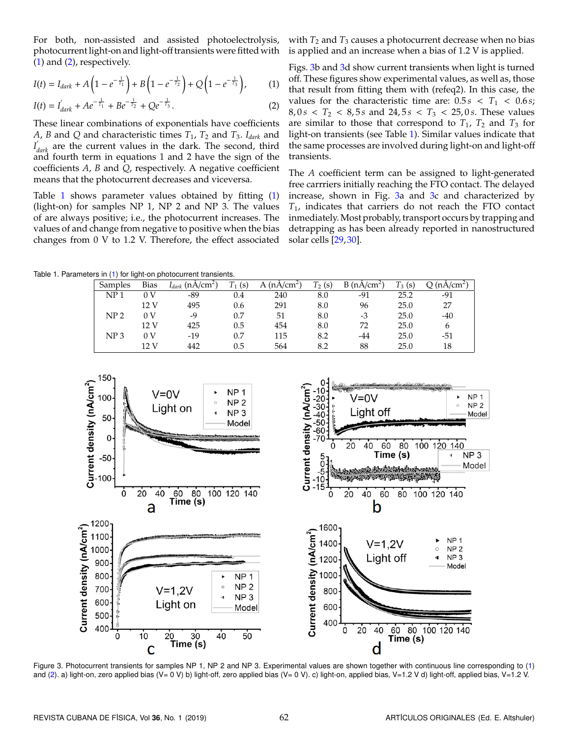For both, non-assisted and assisted photoelectrolysis, photocurrent light-on and light-off transients were fitted with  $(1)$  and  $(2)$ , respectively.

$$
I(t) = I_{dark} + A\left(1 - e^{-\frac{1}{T_1}}\right) + B\left(1 - e^{-\frac{1}{T_2}}\right) + Q\left(1 - e^{-\frac{1}{T_3}}\right),\tag{1}
$$

$$
I(t) = I'_{dark} + Ae^{-\frac{1}{T_1}} + Be^{-\frac{1}{T_2}} + Qe^{-\frac{1}{T_3}}.
$$
 (2)

These linear combinations of exponentials have coefficients *A*, *B* and *Q* and characteristic times  $T_1$ ,  $T_2$  and  $T_3$ . *I*<sub>dark</sub> and *I* 0 *dark* are the current values in the dark. The second, third and fourth term in equations 1 and 2 have the sign of the coefficients *A*, *B* and *Q*, respectively. A negative coefficient means that the photocurrent decreases and viceversa.

Table [1](#page-2-3) shows parameter values obtained by fitting [\(1\)](#page-2-1) (light-on) for samples NP 1, NP 2 and NP 3. The values of are always positive; i.e., the photocurrent increases. The values of and change from negative to positive when the bias changes from 0 V to 1.2 V. Therefore, the effect associated

with  $T_2$  and  $T_3$  causes a photocurrent decrease when no bias is applied and an increase when a bias of 1.2 V is applied.

<span id="page-2-2"></span><span id="page-2-1"></span>Figs. [3b](#page-2-0) and [3d](#page-2-0) show current transients when light is turned off. These figures show experimental values, as well as, those that result from fitting them with (refeq2). In this case, the values for the characteristic time are:  $0.5 s < T_1 < 0.6 s$ ;  $8, 0 \text{ s } < T_2 < 8, 5 \text{ s and } 24, 5 \text{ s } < T_3 < 25, 0 \text{ s.}$  These values are similar to those that correspond to  $T_1$ ,  $T_2$  and  $T_3$  for light-on transients (see Table [1\)](#page-2-3). Similar values indicate that the same processes are involved during light-on and light-off transients.

The *A* coefficient term can be assigned to light-generated free carrriers initially reaching the FTO contact. The delayed increase, shown in Fig. [3a](#page-2-0) and [3c](#page-2-0) and characterized by *T*1, indicates that carriers do not reach the FTO contact inmediately. Most probably, transport occurs by trapping and detrapping as has been already reported in nanostructured solar cells [\[29,](#page-5-12) [30\]](#page-5-13).

<span id="page-2-3"></span>Table 1. Parameters in [\(1\)](#page-2-1) for light-on photocurrent transients.

| Samples         | <b>Bias</b> | $I_{dark}$ (nA/cm <sup>2</sup> ) | $\mathbf{r}$<br>(s) | A $(nA/cm2)$ | $T_2(s)$ | B(nA/cm <sup>2</sup> ) | $T_3$<br>(s) | (nA/cm <sup>2</sup> ) |
|-----------------|-------------|----------------------------------|---------------------|--------------|----------|------------------------|--------------|-----------------------|
| NP <sub>1</sub> | 0 V         | -89                              | 0.4                 | 240          | 8.0      | -91                    | 25.2         | $-91$                 |
|                 | 12V         | 495                              | 0.6                 | 291          | 8.0      | 96                     | 25.0         | 27                    |
| NP <sub>2</sub> | 0 V         | -9                               | 0.7                 | 51           | 8.0      | -3                     | 25.0         | $-40$                 |
|                 | 12 V        | 425                              | 0.5                 | 454          | 8.0      | 72                     | 25.0         | 6                     |
| NP <sub>3</sub> | 0 V         | $-19$                            | 0.7                 | 115          | 8.2      | -44                    | 25.0         | $-51$                 |
|                 | 12 V        | 442                              | 0.5                 | 564          | 8.2      | 88                     | 25.0         | 18                    |

<span id="page-2-0"></span>

Figure 3. Photocurrent transients for samples NP 1, NP 2 and NP 3. Experimental values are shown together with continuous line corresponding to [\(1\)](#page-2-1) and [\(2\)](#page-2-2). a) light-on, zero applied bias (V= 0 V) b) light-off, zero applied bias (V= 0 V). c) light-on, applied bias, V=1.2 V d) light-off, applied bias, V=1.2 V.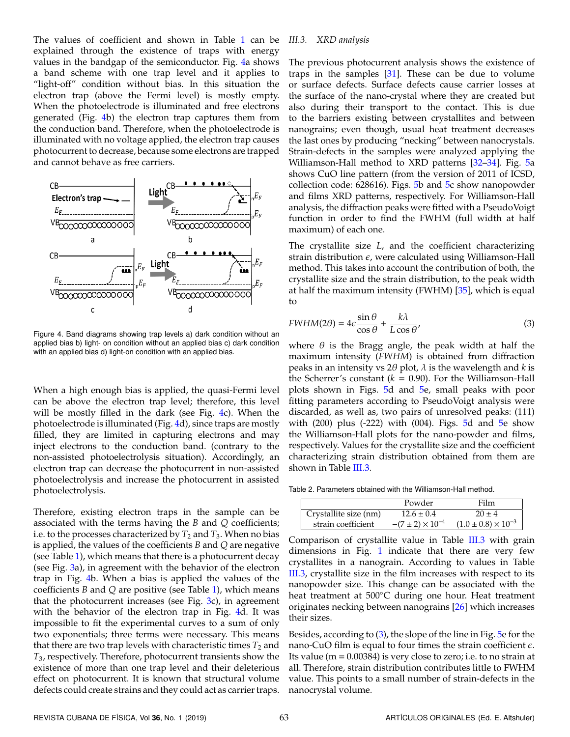The values of coefficient and shown in Table [1](#page-2-3) can be explained through the existence of traps with energy values in the bandgap of the semiconductor. Fig. [4a](#page-3-0) shows a band scheme with one trap level and it applies to "light-off" condition without bias. In this situation the electron trap (above the Fermi level) is mostly empty. When the photoelectrode is illuminated and free electrons generated (Fig. [4b](#page-3-0)) the electron trap captures them from the conduction band. Therefore, when the photoelectrode is illuminated with no voltage applied, the electron trap causes photocurrent to decrease, because some electrons are trapped and cannot behave as free carriers.

<span id="page-3-0"></span>

Figure 4. Band diagrams showing trap levels a) dark condition without an applied bias b) light- on condition without an applied bias c) dark condition with an applied bias d) light-on condition with an applied bias.

When a high enough bias is applied, the quasi-Fermi level can be above the electron trap level; therefore, this level will be mostly filled in the dark (see Fig. [4c](#page-3-0)). When the photoelectrode is illuminated (Fig. [4d](#page-3-0)), since traps are mostly filled, they are limited in capturing electrons and may inject electrons to the conduction band. (contrary to the non-assisted photoelectrolysis situation). Accordingly, an electron trap can decrease the photocurrent in non-assisted photoelectrolysis and increase the photocurrent in assisted photoelectrolysis.

Therefore, existing electron traps in the sample can be associated with the terms having the *B* and *Q* coefficients; i.e. to the processes characterized by  $T_2$  and  $T_3$ . When no bias is applied, the values of the coefficients *B* and *Q* are negative (see Table [1\)](#page-2-3), which means that there is a photocurrent decay (see Fig. [3a](#page-2-0)), in agreement with the behavior of the electron trap in Fig. [4b](#page-3-0). When a bias is applied the values of the coefficients *B* and *Q* are positive (see Table [1\)](#page-2-3), which means that the photocurrent increases (see Fig. [3c](#page-2-0)), in agreement with the behavior of the electron trap in Fig. [4d](#page-3-0). It was impossible to fit the experimental curves to a sum of only two exponentials; three terms were necessary. This means that there are two trap levels with characteristic times  $T_2$  and *T*3, respectively. Therefore, photocurrent transients show the existence of more than one trap level and their deleterious effect on photocurrent. It is known that structural volume defects could create strains and they could act as carrier traps.

## *III.3. XRD analysis*

The previous photocurrent analysis shows the existence of traps in the samples  $[31]$ . These can be due to volume or surface defects. Surface defects cause carrier losses at the surface of the nano-crystal where they are created but also during their transport to the contact. This is due to the barriers existing between crystallites and between nanograins; even though, usual heat treatment decreases the last ones by producing "necking" between nanocrystals. Strain-defects in the samples were analyzed applying the Williamson-Hall method to XRD patterns [\[32](#page-5-15)[–34\]](#page-5-16). Fig. [5a](#page-4-11) shows CuO line pattern (from the version of 2011 of ICSD, collection code: 628616). Figs. [5b](#page-4-11) and [5c](#page-4-11) show nanopowder and films XRD patterns, respectively. For Williamson-Hall analysis, the diffraction peaks were fitted with a PseudoVoigt function in order to find the FWHM (full width at half maximum) of each one.

The crystallite size *L*, and the coefficient characterizing strain distribution  $\epsilon$ , were calculated using Williamson-Hall method. This takes into account the contribution of both, the crystallite size and the strain distribution, to the peak width at half the maximum intensity (FWHM) [\[35\]](#page-5-17), which is equal to

<span id="page-3-1"></span>
$$
FWHM(2\theta) = 4\epsilon \frac{\sin \theta}{\cos \theta} + \frac{k\lambda}{L\cos \theta'},
$$
\n(3)

where  $\theta$  is the Bragg angle, the peak width at half the maximum intensity (*FWHM*) is obtained from diffraction peaks in an intensity vs 2θ plot, λ is the wavelength and *k* is the Scherrer's constant  $(k = 0.90)$ . For the Williamson-Hall plots shown in Figs. [5d](#page-4-11) and [5e](#page-4-11), small peaks with poor fitting parameters according to PseudoVoigt analysis were discarded, as well as, two pairs of unresolved peaks: (111) with  $(200)$  plus  $(-222)$  with  $(004)$ . Figs. [5d](#page-4-11) and [5e](#page-4-11) show the Williamson-Hall plots for the nano-powder and films, respectively. Values for the crystallite size and the coefficient characterizing strain distribution obtained from them are shown in Table [III.3.](#page-3-1)

Table 2. Parameters obtained with the Williamson-Hall method.

|                       | Powder                      | Film                           |
|-----------------------|-----------------------------|--------------------------------|
| Crystallite size (nm) | $12.6 \pm 0.4$              | $20 \pm 4$                     |
| strain coefficient    | $-(7 \pm 2) \times 10^{-4}$ | $(1.0 \pm 0.8) \times 10^{-3}$ |

Comparison of crystallite value in Table [III.3](#page-3-1) with grain dimensions in Fig. [1](#page-1-0) indicate that there are very few crystallites in a nanograin. According to values in Table [III.3,](#page-3-1) crystallite size in the film increases with respect to its nanopowder size. This change can be associated with the heat treatment at 500℃ during one hour. Heat treatment originates necking between nanograins [\[26\]](#page-5-9) which increases their sizes.

Besides, according to [\(3\)](#page-3-1), the slope of the line in Fig. [5e](#page-4-11) for the nano-CuO film is equal to four times the strain coefficient  $\epsilon$ . Its value ( $m = 0.00384$ ) is very close to zero; i.e. to no strain at all. Therefore, strain distribution contributes little to FWHM value. This points to a small number of strain-defects in the nanocrystal volume.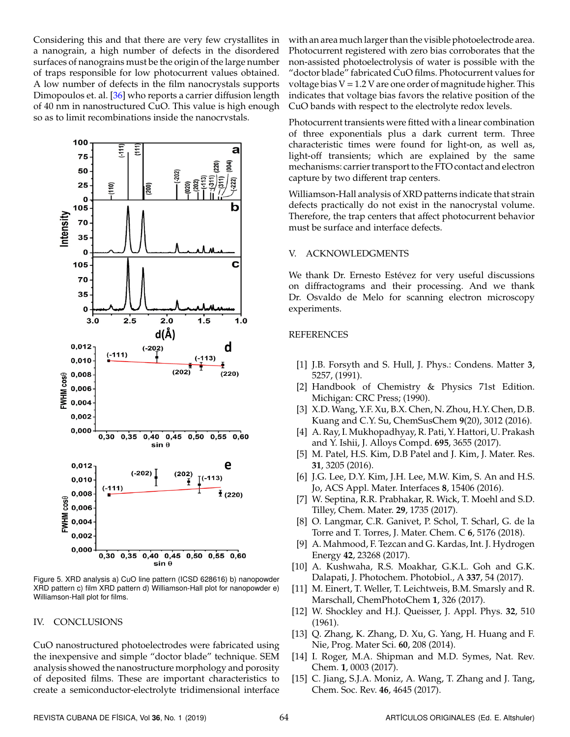Considering this and that there are very few crystallites in a nanograin, a high number of defects in the disordered surfaces of nanograins must be the origin of the large number of traps responsible for low photocurrent values obtained. A low number of defects in the film nanocrystals supports Dimopoulos et. al. [\[36\]](#page-5-18) who reports a carrier diffusion length of 40 nm in nanostructured CuO. This value is high enough so as to limit recombinations inside the nanocrystals.

<span id="page-4-11"></span>

Figure 5. XRD analysis a) CuO line pattern (ICSD 628616) b) nanopowder XRD pattern c) film XRD pattern d) Williamson-Hall plot for nanopowder e) Williamson-Hall plot for films.

## IV. CONCLUSIONS

CuO nanostructured photoelectrodes were fabricated using the inexpensive and simple "doctor blade" technique. SEM analysis showed the nanostructure morphology and porosity of deposited films. These are important characteristics to create a semiconductor-electrolyte tridimensional interface

with an area much larger than the visible photoelectrode area. Photocurrent registered with zero bias corroborates that the non-assisted photoelectrolysis of water is possible with the "doctor blade" fabricated CuO films. Photocurrent values for voltage bias  $V = 1.2$  V are one order of magnitude higher. This indicates that voltage bias favors the relative position of the CuO bands with respect to the electrolyte redox levels.

Photocurrent transients were fitted with a linear combination of three exponentials plus a dark current term. Three characteristic times were found for light-on, as well as, light-off transients; which are explained by the same mechanisms: carrier transport to the FTO contact and electron capture by two different trap centers.

Williamson-Hall analysis of XRD patterns indicate that strain defects practically do not exist in the nanocrystal volume. Therefore, the trap centers that affect photocurrent behavior must be surface and interface defects.

## V. ACKNOWLEDGMENTS

We thank Dr. Ernesto Estévez for very useful discussions on diffractograms and their processing. And we thank Dr. Osvaldo de Melo for scanning electron microscopy experiments.

### REFERENCES

- <span id="page-4-0"></span>[1] J.B. Forsyth and S. Hull, J. Phys.: Condens. Matter **3**, 5257, (1991).
- <span id="page-4-1"></span>[2] Handbook of Chemistry & Physics 71st Edition. Michigan: CRC Press; (1990).
- <span id="page-4-2"></span>[3] X.D. Wang, Y.F. Xu, B.X. Chen, N. Zhou, H.Y. Chen, D.B. Kuang and C.Y. Su, ChemSusChem **9**(20), 3012 (2016).
- <span id="page-4-7"></span>[4] A. Ray, I. Mukhopadhyay, R. Pati, Y. Hattori, U. Prakash and Y. Ishii, J. Alloys Compd. **695**, 3655 (2017).
- <span id="page-4-10"></span>[5] M. Patel, H.S. Kim, D.B Patel and J. Kim, J. Mater. Res. **31**, 3205 (2016).
- [6] J.G. Lee, D.Y. Kim, J.H. Lee, M.W. Kim, S. An and H.S. Jo, ACS Appl. Mater. Interfaces **8**, 15406 (2016).
- <span id="page-4-8"></span>[7] W. Septina, R.R. Prabhakar, R. Wick, T. Moehl and S.D. Tilley, Chem. Mater. **29**, 1735 (2017).
- <span id="page-4-3"></span>[8] O. Langmar, C.R. Ganivet, P. Schol, T. Scharl, G. de la Torre and T. Torres, J. Mater. Chem. C **6**, 5176 (2018).
- <span id="page-4-4"></span>[9] A. Mahmood, F. Tezcan and G. Kardas, Int. J. Hydrogen Energy **42**, 23268 (2017).
- [10] A. Kushwaha, R.S. Moakhar, G.K.L. Goh and G.K. Dalapati, J. Photochem. Photobiol., A **337**, 54 (2017).
- <span id="page-4-5"></span>[11] M. Einert, T. Weller, T. Leichtweis, B.M. Smarsly and R. Marschall, ChemPhotoChem **1**, 326 (2017).
- <span id="page-4-6"></span>[12] W. Shockley and H.J. Queisser, J. Appl. Phys. **32**, 510 (1961).
- [13] Q. Zhang, K. Zhang, D. Xu, G. Yang, H. Huang and F. Nie, Prog. Mater Sci. **60**, 208 (2014).
- <span id="page-4-9"></span>[14] I. Roger, M.A. Shipman and M.D. Symes, Nat. Rev. Chem. **1**, 0003 (2017).
- [15] C. Jiang, S.J.A. Moniz, A. Wang, T. Zhang and J. Tang, Chem. Soc. Rev. **46**, 4645 (2017).